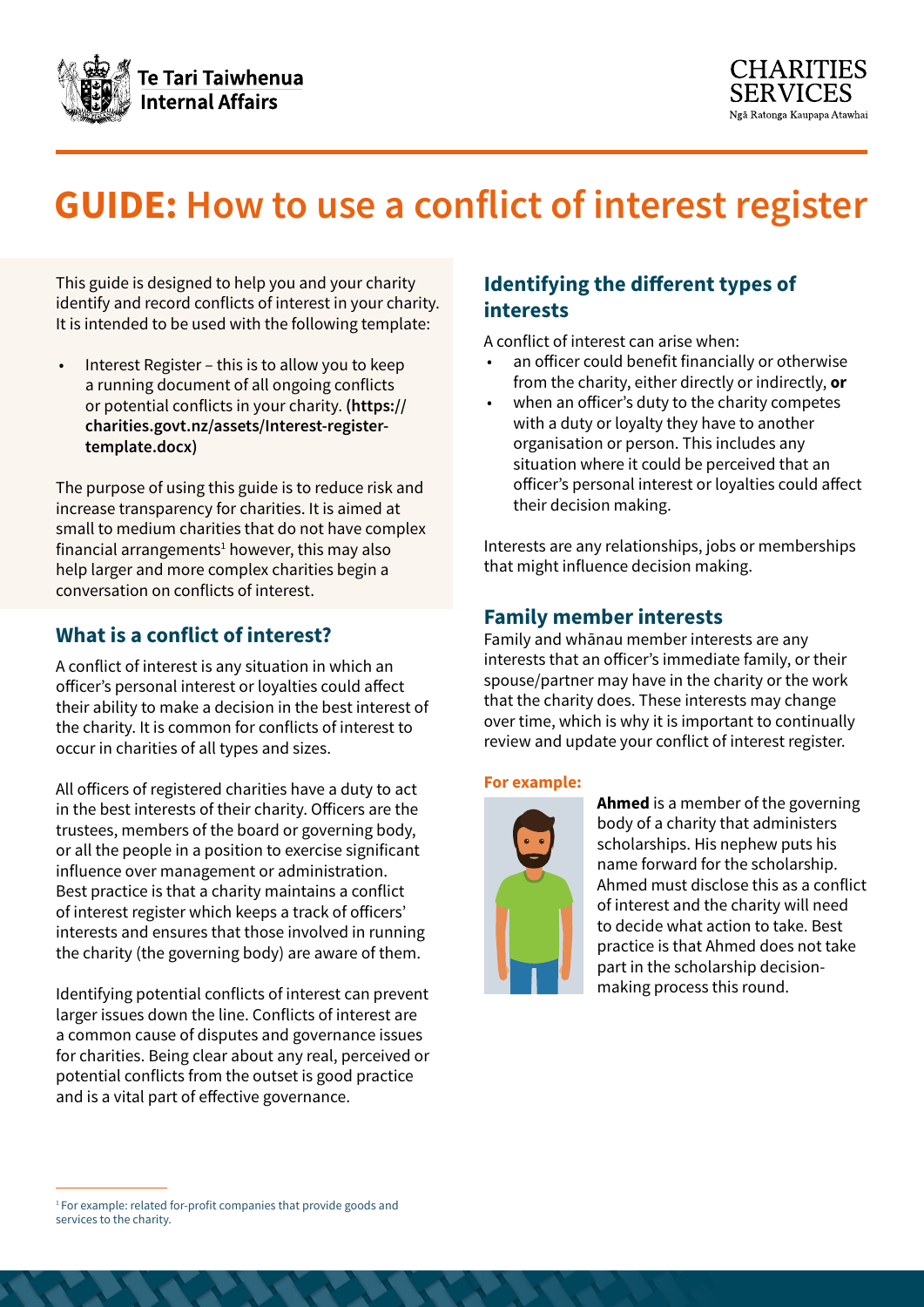



# **GUIDE: How to use a conflict of interest register**

This guide is designed to help you and your charity identify and record conflicts of interest in your charity. It is intended to be used with the following template:

Interest Register – this is to allow you to keep a running document of all ongoing conflicts or potential conflicts in your charity. **[\(https://](https://charities.govt.nz/assets/Interest-register-template.docx) [charities.govt.nz/assets/Interest-register](https://charities.govt.nz/assets/Interest-register-template.docx)[template.docx\)](https://charities.govt.nz/assets/Interest-register-template.docx)**

The purpose of using this guide is to reduce risk and increase transparency for charities. It is aimed at small to medium charities that do not have complex  $f$ inancial arrangements<sup>1</sup> however, this may also help larger and more complex charities begin a conversation on conflicts of interest.

## **What is a conflict of interest?**

A conflict of interest is any situation in which an officer's personal interest or loyalties could affect their ability to make a decision in the best interest of the charity. It is common for conflicts of interest to occur in charities of all types and sizes.

All officers of registered charities have a duty to act in the best interests of their charity. Officers are the trustees, members of the board or governing body, or all the people in a position to exercise significant influence over management or administration. Best practice is that a charity maintains a conflict of interest register which keeps a track of officers' interests and ensures that those involved in running the charity (the governing body) are aware of them.

Identifying potential conflicts of interest can prevent larger issues down the line. Conflicts of interest are a common cause of disputes and governance issues for charities. Being clear about any real, perceived or potential conflicts from the outset is good practice and is a vital part of effective governance.

## **Identifying the different types of interests**

A conflict of interest can arise when:

- an officer could benefit financially or otherwise from the charity, either directly or indirectly, **or**
- when an officer's duty to the charity competes with a duty or loyalty they have to another organisation or person. This includes any situation where it could be perceived that an officer's personal interest or loyalties could affect their decision making.

Interests are any relationships, jobs or memberships that might influence decision making.

### **Family member interests**

Family and whānau member interests are any interests that an officer's immediate family, or their spouse/partner may have in the charity or the work that the charity does. These interests may change over time, which is why it is important to continually review and update your conflict of interest register.

#### **For example:**



**Ahmed** is a member of the governing body of a charity that administers scholarships. His nephew puts his name forward for the scholarship. Ahmed must disclose this as a conflict of interest and the charity will need to decide what action to take. Best practice is that Ahmed does not take part in the scholarship decisionmaking process this round.

<sup>&</sup>lt;sup>1</sup> For example: related for-profit companies that provide goods and services to the charity.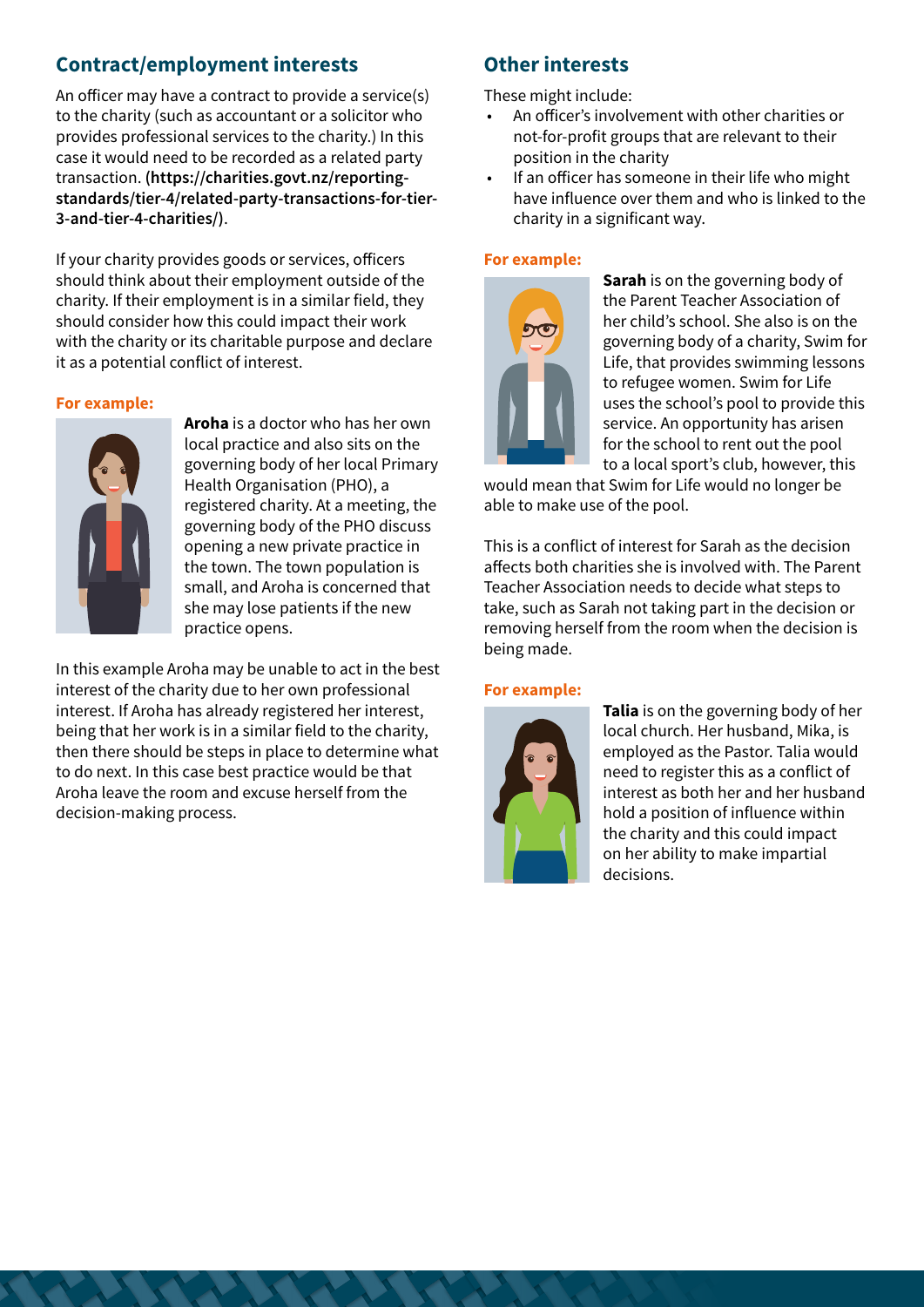## **Contract/employment interests**

An officer may have a contract to provide a service(s) to the charity (such as accountant or a solicitor who provides professional services to the charity.) In this case it would need to be recorded as a related party transaction. **[\(https://charities.govt.nz/reporting](https://charities.govt.nz/reporting-standards/tier-4/related-party-transactions-for-tier-3-and-tier-4-charities/)[standards/tier-4/related-party-transactions-for-tier-](https://charities.govt.nz/reporting-standards/tier-4/related-party-transactions-for-tier-3-and-tier-4-charities/)[3-and-tier-4-charities/\)](https://charities.govt.nz/reporting-standards/tier-4/related-party-transactions-for-tier-3-and-tier-4-charities/)**.

If your charity provides goods or services, officers should think about their employment outside of the charity. If their employment is in a similar field, they should consider how this could impact their work with the charity or its charitable purpose and declare it as a potential conflict of interest.

#### **For example:**



**Aroha** is a doctor who has her own local practice and also sits on the governing body of her local Primary Health Organisation (PHO), a registered charity. At a meeting, the governing body of the PHO discuss opening a new private practice in the town. The town population is small, and Aroha is concerned that she may lose patients if the new practice opens.

In this example Aroha may be unable to act in the best interest of the charity due to her own professional interest. If Aroha has already registered her interest, being that her work is in a similar field to the charity, then there should be steps in place to determine what to do next. In this case best practice would be that Aroha leave the room and excuse herself from the decision-making process.

# **Other interests**

These might include:

- An officer's involvement with other charities or not-for-profit groups that are relevant to their position in the charity
- If an officer has someone in their life who might have influence over them and who is linked to the charity in a significant way.

#### **For example:**



**Sarah** is on the governing body of the Parent Teacher Association of her child's school. She also is on the governing body of a charity, Swim for Life, that provides swimming lessons to refugee women. Swim for Life uses the school's pool to provide this service. An opportunity has arisen for the school to rent out the pool to a local sport's club, however, this

would mean that Swim for Life would no longer be able to make use of the pool.

This is a conflict of interest for Sarah as the decision affects both charities she is involved with. The Parent Teacher Association needs to decide what steps to take, such as Sarah not taking part in the decision or removing herself from the room when the decision is being made.

#### **For example:**



**Talia** is on the governing body of her local church. Her husband, Mika, is employed as the Pastor. Talia would need to register this as a conflict of interest as both her and her husband hold a position of influence within the charity and this could impact on her ability to make impartial decisions.